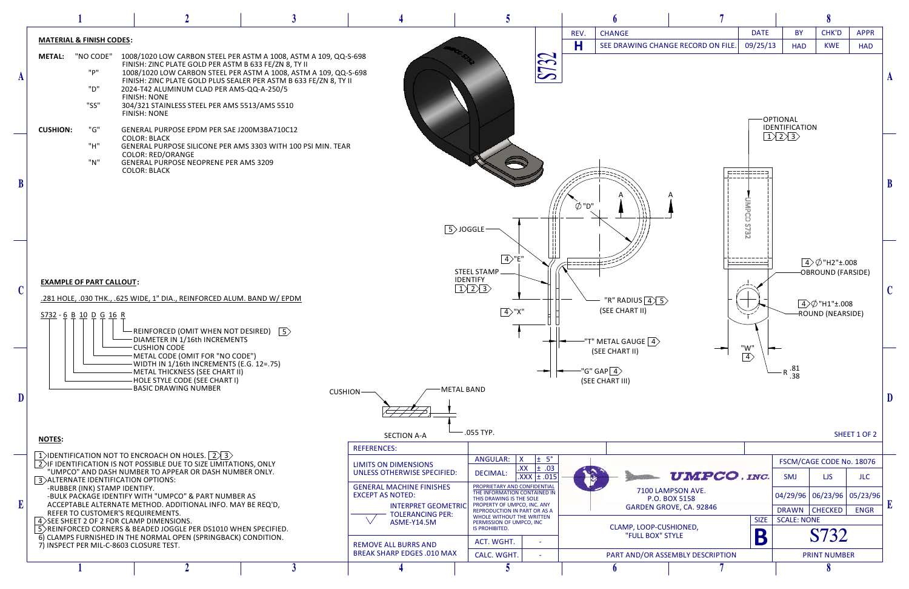